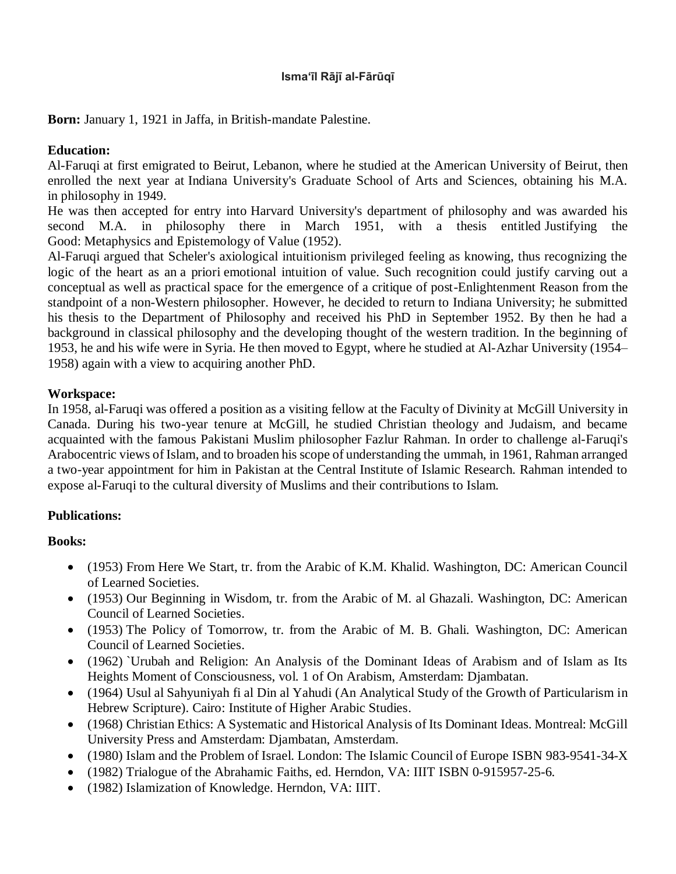#### **Ismaʻīl Rājī al-Fārūqī**

**Born:** January 1, 1921 in [Jaffa,](https://en.wikipedia.org/wiki/Jaffa) in British-mandate [Palestine.](https://en.wikipedia.org/wiki/Palestine_(region))

## **Education:**

Al-Faruqi at first emigrated to [Beirut,](https://en.wikipedia.org/wiki/Beirut) [Lebanon,](https://en.wikipedia.org/wiki/Lebanon) where he studied at the [American University of Beirut,](https://en.wikipedia.org/wiki/American_University_of_Beirut) then enrolled the next year at [Indiana University's](https://en.wikipedia.org/wiki/Indiana_University_Bloomington) Graduate School of Arts and Sciences, obtaining his M.A. in [philosophy](https://en.wikipedia.org/wiki/Philosophy) in 1949.

He was then accepted for entry into [Harvard University's](https://en.wikipedia.org/wiki/Harvard_University) department of philosophy and was awarded his second M.A. in philosophy there in March 1951, with a thesis entitled Justifying the Good: [Metaphysics](https://en.wikipedia.org/wiki/Metaphysics) and [Epistemology](https://en.wikipedia.org/wiki/Epistemology) of Value (1952).

Al-Faruqi argued that Scheler's axiological intuitionism privileged feeling as knowing, thus recognizing the logic of the heart as an a priori emotional intuition of value. Such recognition could justify carving out a conceptual as well as practical space for the emergence of a critique of post-Enlightenment Reason from the standpoint of a non-Western philosopher. However, he decided to return to Indiana University; he submitted his thesis to the Department of Philosophy and received his PhD in September 1952. By then he had a background in classical philosophy and the developing thought of the western tradition. In the beginning of 1953, he and his wife were in Syria. He then moved to Egypt, where he studied at Al-Azhar University (1954– 1958) again with a view to acquiring another PhD.

#### **Workspace:**

In 1958, al-Faruqi was offered a position as a visiting fellow at the Faculty of Divinity at [McGill University](https://en.wikipedia.org/wiki/McGill_University) in Canada. During his two-year tenure at McGill, he studied Christian theology and Judaism, and became acquainted with the famous Pakistani Muslim philosopher [Fazlur Rahman.](https://en.wikipedia.org/wiki/Fazlur_Rahman) In order to challenge al-Faruqi's Arabocentric views of Islam, and to broaden his scope of understanding the [ummah,](https://en.wikipedia.org/wiki/Ummah) in 1961, Rahman arranged a two-year appointment for him in Pakistan at the Central Institute of Islamic Research. Rahman intended to expose al-Faruqi to the cultural diversity of Muslims and their contributions to Islam.

## **Publications:**

## **Books:**

- (1953) From Here We Start, tr. from the Arabic of K.M. Khalid. Washington, DC: American Council of Learned Societies.
- (1953) Our Beginning in Wisdom, tr. from the Arabic of M. al Ghazali. Washington, DC: American Council of Learned Societies.
- (1953) The Policy of Tomorrow, tr. from the Arabic of M. B. Ghali. Washington, DC: American Council of Learned Societies.
- (1962) `Urubah and Religion: An Analysis of the Dominant Ideas of Arabism and of Islam as Its Heights Moment of Consciousness, vol. 1 of On Arabism, Amsterdam: Djambatan.
- (1964) Usul al Sahyuniyah fi al Din al Yahudi (An Analytical Study of the Growth of Particularism in Hebrew Scripture). Cairo: Institute of Higher Arabic Studies.
- (1968) Christian Ethics: A Systematic and Historical Analysis of Its Dominant Ideas. Montreal: McGill University Press and Amsterdam: Djambatan, Amsterdam.
- (1980) Islam and the Problem of Israel. London: The Islamic Council of Europe [ISBN](https://en.wikipedia.org/wiki/International_Standard_Book_Number) [983-9541-34-X](https://en.wikipedia.org/wiki/Special:BookSources/983-9541-34-X)
- (1982) Trialogue of the Abrahamic Faiths, ed. Herndon, VA: IIIT [ISBN](https://en.wikipedia.org/wiki/International_Standard_Book_Number) [0-915957-25-6.](https://en.wikipedia.org/wiki/Special:BookSources/0-915957-25-6)
- (1982) Islamization of Knowledge. Herndon, VA: IIIT.